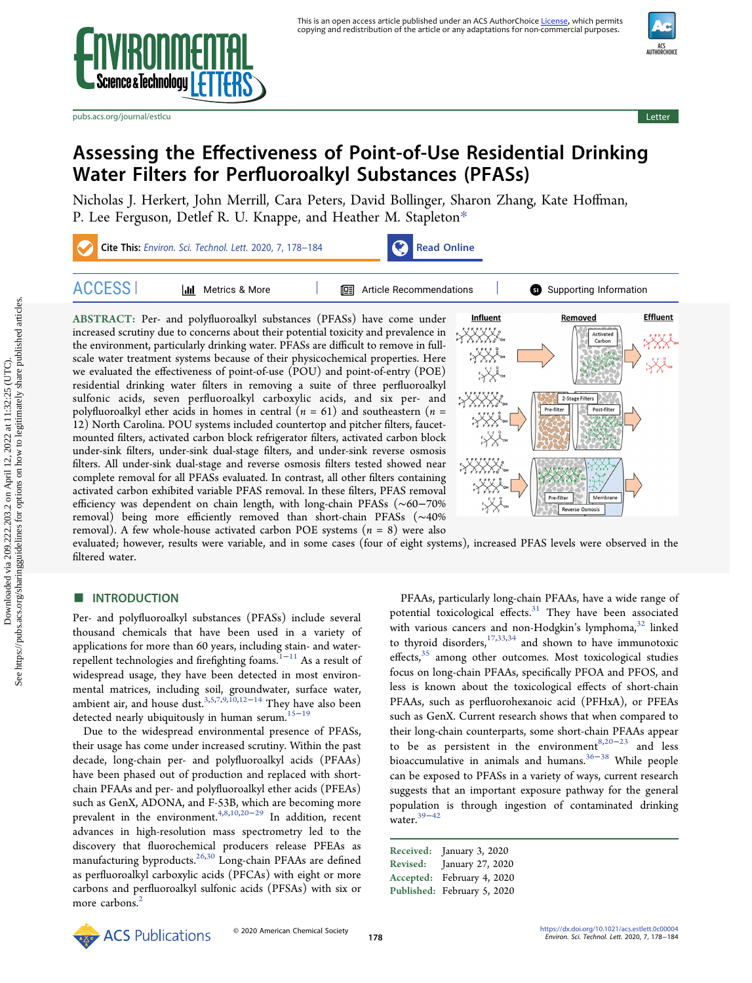



[pubs.acs.org/journal/estlcu](pubs.acs.org/journal/estlcu?ref=pdf) Letter and the control of the control of the control of the control of the control of the control of the control of the control of the control of the control of the control of the control of the



# Assessing the Effectiveness of Point-of-Use Residential Drinking Water Filters for Perfluoroalkyl Substances (PFASs)

[Nicholas J. Herkert,](https://pubs.acs.org/action/doSearch?field1=Contrib&text1="Nicholas+J.+Herkert"&field2=AllField&text2=&publication=&accessType=allContent&Earliest=&ref=pdf) [John Merrill,](https://pubs.acs.org/action/doSearch?field1=Contrib&text1="John+Merrill"&field2=AllField&text2=&publication=&accessType=allContent&Earliest=&ref=pdf) [Cara Peters,](https://pubs.acs.org/action/doSearch?field1=Contrib&text1="Cara+Peters"&field2=AllField&text2=&publication=&accessType=allContent&Earliest=&ref=pdf) [David Bollinger,](https://pubs.acs.org/action/doSearch?field1=Contrib&text1="David+Bollinger"&field2=AllField&text2=&publication=&accessType=allContent&Earliest=&ref=pdf) [Sharon Zhang,](https://pubs.acs.org/action/doSearch?field1=Contrib&text1="Sharon+Zhang"&field2=AllField&text2=&publication=&accessType=allContent&Earliest=&ref=pdf) [Kate Ho](https://pubs.acs.org/action/doSearch?field1=Contrib&text1="Kate+Hoffman"&field2=AllField&text2=&publication=&accessType=allContent&Earliest=&ref=pdf)ffman, [P. Lee Ferguson,](https://pubs.acs.org/action/doSearch?field1=Contrib&text1="P.+Lee+Ferguson"&field2=AllField&text2=&publication=&accessType=allContent&Earliest=&ref=pdf) [Detlef R. U. Knappe,](https://pubs.acs.org/action/doSearch?field1=Contrib&text1="Detlef+R.+U.+Knappe"&field2=AllField&text2=&publication=&accessType=allContent&Earliest=&ref=pdf) [and Heather M. Stapleton](https://pubs.acs.org/action/doSearch?field1=Contrib&text1="Heather+M.+Stapleton"&field2=AllField&text2=&publication=&accessType=allContent&Earliest=&ref=pdf)[\\*](#page-4-0)



ABSTRACT: Per- and polyfluoroalkyl substances (PFASs) have come under increased scrutiny due to concerns about their potential toxicity and prevalence in the environment, particularly drinking water. PFASs are difficult to remove in fullscale water treatment systems because of their physicochemical properties. Here we evaluated the effectiveness of point-of-use (POU) and point-of-entry (POE) residential drinking water filters in removing a suite of three perfluoroalkyl sulfonic acids, seven perfluoroalkyl carboxylic acids, and six per- and polyfluoroalkyl ether acids in homes in central ( $n = 61$ ) and southeastern ( $n =$ 12) North Carolina. POU systems included countertop and pitcher filters, faucetmounted filters, activated carbon block refrigerator filters, activated carbon block under-sink filters, under-sink dual-stage filters, and under-sink reverse osmosis filters. All under-sink dual-stage and reverse osmosis filters tested showed near complete removal for all PFASs evaluated. In contrast, all other filters containing activated carbon exhibited variable PFAS removal. In these filters, PFAS removal efficiency was dependent on chain length, with long-chain PFASs (∼60−70% removal) being more efficiently removed than short-chain PFASs (∼40% removal). A few whole-house activated carbon POE systems  $(n = 8)$  were also



evaluated; however, results were variable, and in some cases (four of eight systems), increased PFAS levels were observed in the filtered water.

# **ENTRODUCTION**

Per- and polyfluoroalkyl substances (PFASs) include several thousand chemicals that have been used in a variety of applications for more than 60 years, including stain- and water-repellent technologies and firefighting foams.<sup>[1](#page-4-0)−[11](#page-4-0)</sup> As a result of widespread usage, they have been detected in most environmental matrices, including soil, groundwater, surface water, ambient air, and house dust.<sup>[3](#page-4-0),[5](#page-4-0),[7,9,10](#page-4-0),[12](#page-4-0)–[14](#page-4-0)</sup> They have also been detected nearly ubiquitously in human serum.<sup>[15](#page-4-0)−[19](#page-4-0)</sup>

Due to the widespread environmental presence of PFASs, their usage has come under increased scrutiny. Within the past decade, long-chain per- and polyfluoroalkyl acids (PFAAs) have been phased out of production and replaced with shortchain PFAAs and per- and polyfluoroalkyl ether acids (PFEAs) such as GenX, ADONA, and F-53B, which are becoming more prevalent in the environment.<sup>[4,8,10](#page-4-0)[,20](#page-5-0)-[29](#page-5-0)</sup> In addition, recent advances in high-resolution mass spectrometry led to the discovery that fluorochemical producers release PFEAs as manufacturing byproducts.<sup>26,[30](#page-5-0)</sup> Long-chain PFAAs are defined as perfluoroalkyl carboxylic acids (PFCAs) with eight or more carbons and perfluoroalkyl sulfonic acids (PFSAs) with six or more carbons.<sup>[2](#page-4-0)</sup>

PFAAs, particularly long-chain PFAAs, have a wide range of potential toxicological effects.<sup>31</sup> They have been associated with various cancers and non-Hodgkin's lymphoma, [32](#page-5-0) linked to thyroid disorders,  $17,33,34$  $17,33,34$  and shown to have immunotoxic effects,<sup>35</sup> among other outcomes. Most toxicological studies focus on long-chain PFAAs, specifically PFOA and PFOS, and less is known about the toxicological effects of short-chain PFAAs, such as perfluorohexanoic acid (PFHxA), or PFEAs such as GenX. Current research shows that when compared to their long-chain counterparts, some short-chain PFAAs appear to be as persistent in the environment<sup>[8](#page-4-0),[20](#page-5-0)−[23](#page-5-0)</sup> and less bioaccumulative in animals and humans. $36−38$  $36−38$  $36−38$  While people can be exposed to PFASs in a variety of ways, current research suggests that an important exposure pathway for the general population is through ingestion of contaminated drinking water. $39-42$  $39-42$  $39-42$ 

Received: January 3, 2020 Revised: January 27, 2020 Accepted: February 4, 2020 Published: February 5, 2020

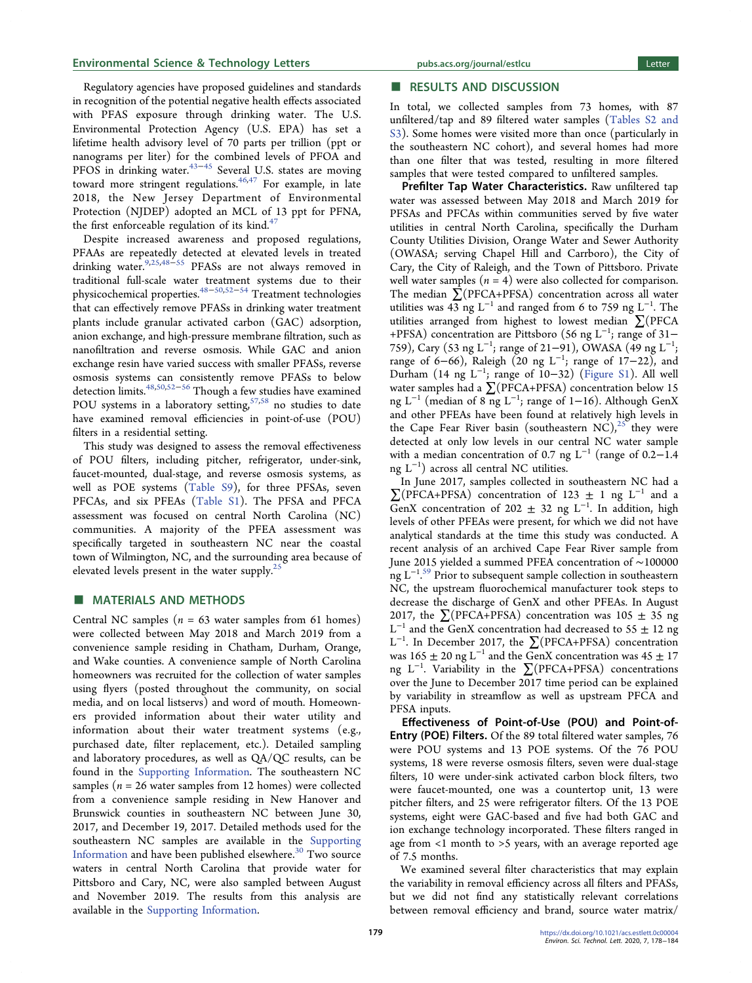Regulatory agencies have proposed guidelines and standards in recognition of the potential negative health effects associated with PFAS exposure through drinking water. The U.S. Environmental Protection Agency (U.S. EPA) has set a lifetime health advisory level of 70 parts per trillion (ppt or nanograms per liter) for the combined levels of PFOA and PFOS in drinking water.<sup>[43](#page-5-0)–[45](#page-5-0)</sup> Several U.S. states are moving toward more stringent regulations.<sup>[46](#page-5-0),[47](#page-5-0)</sup> For example, in late 2018, the New Jersey Department of Environmental Protection (NJDEP) adopted an MCL of 13 ppt for PFNA, the first enforceable regulation of its kind.<sup>[47](#page-5-0)</sup>

Despite increased awareness and proposed regulations, PFAAs are repeatedly detected at elevated levels in treated drinking water.[9](#page-4-0),[25,48](#page-5-0)−[55](#page-6-0) PFASs are not always removed in traditional full-scale water treatment systems due to their physicochemical properties.<sup>[48](#page-5-0)−[50,52](#page-5-0)−[54](#page-6-0)</sup> Treatment technologies that can effectively remove PFASs in drinking water treatment plants include granular activated carbon (GAC) adsorption, anion exchange, and high-pressure membrane filtration, such as nanofiltration and reverse osmosis. While GAC and anion exchange resin have varied success with smaller PFASs, reverse osmosis systems can consistently remove PFASs to below detection limits[.48,50](#page-5-0),[52](#page-5-0)<sup>−</sup>[56](#page-6-0) Though a few studies have examined POU systems in a laboratory setting,  $57,58$  $57,58$  no studies to date have examined removal efficiencies in point-of-use (POU) filters in a residential setting.

This study was designed to assess the removal effectiveness of POU filters, including pitcher, refrigerator, under-sink, faucet-mounted, dual-stage, and reverse osmosis systems, as well as POE systems ([Table S9\)](http://pubs.acs.org/doi/suppl/10.1021/acs.estlett.0c00004/suppl_file/ez0c00004_si_001.pdf), for three PFSAs, seven PFCAs, and six PFEAs [\(Table S1\)](http://pubs.acs.org/doi/suppl/10.1021/acs.estlett.0c00004/suppl_file/ez0c00004_si_001.pdf). The PFSA and PFCA assessment was focused on central North Carolina (NC) communities. A majority of the PFEA assessment was specifically targeted in southeastern NC near the coastal town of Wilmington, NC, and the surrounding area because of elevated levels present in the water supply. $25$ 

# ■ MATERIALS AND METHODS

Central NC samples ( $n = 63$  water samples from 61 homes) were collected between May 2018 and March 2019 from a convenience sample residing in Chatham, Durham, Orange, and Wake counties. A convenience sample of North Carolina homeowners was recruited for the collection of water samples using flyers (posted throughout the community, on social media, and on local listservs) and word of mouth. Homeowners provided information about their water utility and information about their water treatment systems (e.g., purchased date, filter replacement, etc.). Detailed sampling and laboratory procedures, as well as QA/QC results, can be found in the [Supporting Information.](http://pubs.acs.org/doi/suppl/10.1021/acs.estlett.0c00004/suppl_file/ez0c00004_si_001.pdf) The southeastern NC samples ( $n = 26$  water samples from 12 homes) were collected from a convenience sample residing in New Hanover and Brunswick counties in southeastern NC between June 30, 2017, and December 19, 2017. Detailed methods used for the southeastern NC samples are available in the [Supporting](http://pubs.acs.org/doi/suppl/10.1021/acs.estlett.0c00004/suppl_file/ez0c00004_si_001.pdf) [Information](http://pubs.acs.org/doi/suppl/10.1021/acs.estlett.0c00004/suppl_file/ez0c00004_si_001.pdf) and have been published elsewhere.<sup>[30](#page-5-0)</sup> Two source waters in central North Carolina that provide water for Pittsboro and Cary, NC, were also sampled between August and November 2019. The results from this analysis are available in the [Supporting Information.](http://pubs.acs.org/doi/suppl/10.1021/acs.estlett.0c00004/suppl_file/ez0c00004_si_001.pdf)

# **Example 5 and Solution**<br>■ RESULTS AND DISCUSSION

In total, we collected samples from 73 homes, with 87 unfiltered/tap and 89 filtered water samples [\(Tables S2 and](http://pubs.acs.org/doi/suppl/10.1021/acs.estlett.0c00004/suppl_file/ez0c00004_si_001.pdf) [S3](http://pubs.acs.org/doi/suppl/10.1021/acs.estlett.0c00004/suppl_file/ez0c00004_si_001.pdf)). Some homes were visited more than once (particularly in the southeastern NC cohort), and several homes had more than one filter that was tested, resulting in more filtered samples that were tested compared to unfiltered samples.

Prefilter Tap Water Characteristics. Raw unfiltered tap water was assessed between May 2018 and March 2019 for PFSAs and PFCAs within communities served by five water utilities in central North Carolina, specifically the Durham County Utilities Division, Orange Water and Sewer Authority (OWASA; serving Chapel Hill and Carrboro), the City of Cary, the City of Raleigh, and the Town of Pittsboro. Private well water samples  $(n = 4)$  were also collected for comparison. The median ∑(PFCA+PFSA) concentration across all water utilities was 43 ng  $L^{-1}$  and ranged from 6 to 759 ng  $L^{-1}$ . The utilities arranged from highest to lowest median ∑(PFCA +PFSA) concentration are Pittsboro (56 ng L<sup>-1</sup>; range of 31– 759), Cary (53 ng L<sup>-1</sup>; range of 21–91), OWASA (49 ng L<sup>-1</sup>; range of 6–66), Raleigh (20 ng L<sup>-1</sup>; range of 17–22), and Durham (14 ng L<sup>−</sup><sup>1</sup> ; range of 10−32) [\(Figure S1](http://pubs.acs.org/doi/suppl/10.1021/acs.estlett.0c00004/suppl_file/ez0c00004_si_001.pdf)). All well water samples had a ∑(PFCA+PFSA) concentration below 15 ng L<sup>−1</sup> (median of 8 ng L<sup>−1</sup>; range of 1–16). Although GenX and other PFEAs have been found at relatively high levels in the Cape Fear River basin (southeastern NC),<sup>[25](#page-5-0)</sup> they were detected at only low levels in our central NC water sample with a median concentration of 0.7 ng L<sup>-1</sup> (range of 0.2−1.4 ng L<sup>−</sup><sup>1</sup> ) across all central NC utilities.

In June 2017, samples collected in southeastern NC had a  $\sum$ (PFCA+PFSA) concentration of 123  $\pm$  1 ng L<sup>-1</sup> and a GenX concentration of 202  $\pm$  32 ng L<sup>-1</sup>. In addition, high levels of other PFEAs were present, for which we did not have analytical standards at the time this study was conducted. A recent analysis of an archived Cape Fear River sample from June 2015 yielded a summed PFEA concentration of ∼100000 ng L<sup>−</sup><sup>1</sup> . [59](#page-6-0) Prior to subsequent sample collection in southeastern NC, the upstream fluorochemical manufacturer took steps to decrease the discharge of GenX and other PFEAs. In August 2017, the  $\sum$ (PFCA+PFSA) concentration was 105  $\pm$  35 ng  $L^{-1}$  and the GenX concentration had decreased to 55  $\pm$  12 ng L<sup>−</sup><sup>1</sup> . In December 2017, the ∑(PFCA+PFSA) concentration was  $165 \pm 20$  ng L<sup>-1</sup> and the GenX concentration was  $45 \pm 17$ ng L<sup>−</sup><sup>1</sup> . Variability in the ∑(PFCA+PFSA) concentrations over the June to December 2017 time period can be explained by variability in streamflow as well as upstream PFCA and PFSA inputs.

Effectiveness of Point-of-Use (POU) and Point-of-Entry (POE) Filters. Of the 89 total filtered water samples, 76 were POU systems and 13 POE systems. Of the 76 POU systems, 18 were reverse osmosis filters, seven were dual-stage filters, 10 were under-sink activated carbon block filters, two were faucet-mounted, one was a countertop unit, 13 were pitcher filters, and 25 were refrigerator filters. Of the 13 POE systems, eight were GAC-based and five had both GAC and ion exchange technology incorporated. These filters ranged in age from <1 month to >5 years, with an average reported age of 7.5 months.

We examined several filter characteristics that may explain the variability in removal efficiency across all filters and PFASs, but we did not find any statistically relevant correlations between removal efficiency and brand, source water matrix/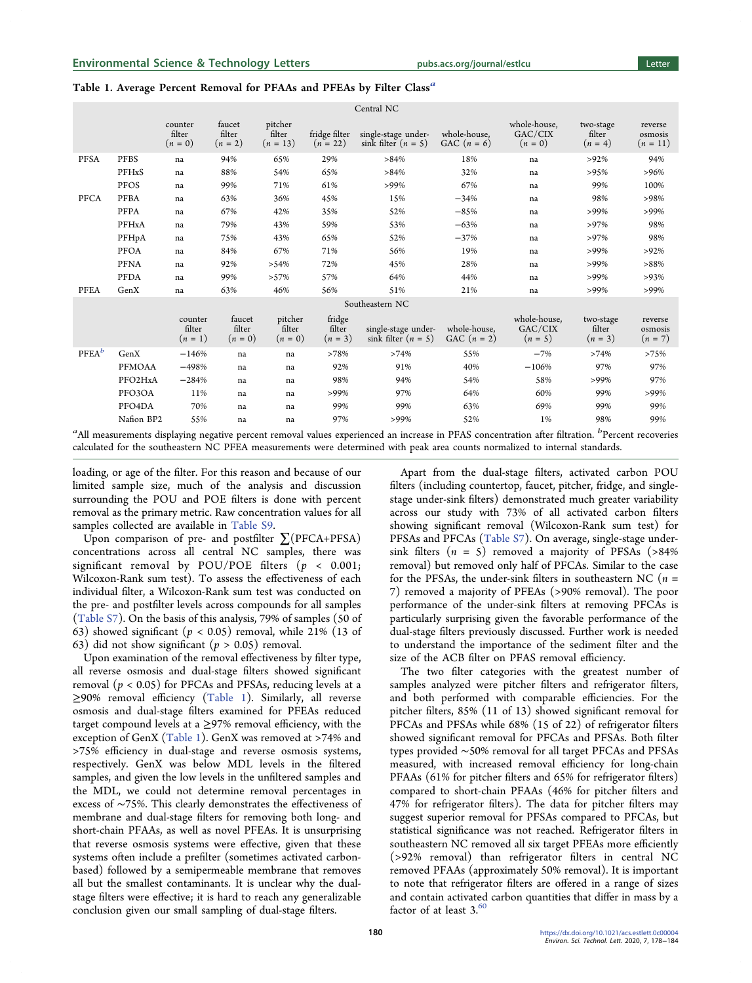<span id="page-2-0"></span>

|                   |               |                                |                               |                                 |                               | Central NC                                   |                               |                                      |                                  |                                  |
|-------------------|---------------|--------------------------------|-------------------------------|---------------------------------|-------------------------------|----------------------------------------------|-------------------------------|--------------------------------------|----------------------------------|----------------------------------|
|                   |               | counter<br>filter<br>$(n=0)$   | faucet<br>filter<br>$(n = 2)$ | pitcher<br>filter<br>$(n = 13)$ | fridge filter<br>$(n = 22)$   | single-stage under-<br>sink filter $(n = 5)$ | whole-house.<br>GAC $(n = 6)$ | whole-house.<br>GAC/CIX<br>$(n=0)$   | two-stage<br>filter<br>$(n = 4)$ | reverse<br>osmosis<br>$(n = 11)$ |
| <b>PFSA</b>       | <b>PFBS</b>   | na                             | 94%                           | 65%                             | 29%                           | >84%                                         | 18%                           | na                                   | $>92\%$                          | 94%                              |
|                   | PFHxS         | na                             | 88%                           | 54%                             | 65%                           | >84%                                         | 32%                           | na                                   | >95%                             | >96%                             |
|                   | PFOS          | na                             | 99%                           | 71%                             | 61%                           | $>99\%$                                      | 67%                           | na                                   | 99%                              | 100%                             |
| PFCA              | <b>PFBA</b>   | na                             | 63%                           | 36%                             | 45%                           | 15%                                          | $-34%$                        | na                                   | 98%                              | >98%                             |
|                   | PFPA          | na                             | 67%                           | 42%                             | 35%                           | 52%                                          | $-85%$                        | na                                   | >99%                             | $>99\%$                          |
|                   | PFHxA         | na                             | 79%                           | 43%                             | 59%                           | 53%                                          | $-63%$                        | na                                   | $>97\%$                          | 98%                              |
|                   | $\rm PFHpA$   | na                             | 75%                           | 43%                             | 65%                           | 52%                                          | $-37%$                        | na                                   | $>97\%$                          | 98%                              |
|                   | PFOA          | na                             | 84%                           | 67%                             | 71%                           | 56%                                          | 19%                           | na                                   | >99%                             | $>92\%$                          |
|                   | <b>PFNA</b>   | na                             | 92%                           | >54%                            | 72%                           | 45%                                          | 28%                           | na                                   | >99%                             | >88%                             |
|                   | <b>PFDA</b>   | na                             | 99%                           | >57%                            | 57%                           | 64%                                          | 44%                           | na                                   | >99%                             | >93%                             |
| <b>PFEA</b>       | GenX          | na                             | 63%                           | 46%                             | 56%                           | 51%                                          | 21%                           | na                                   | >99%                             | $>99\%$                          |
|                   |               |                                |                               |                                 |                               | Southeastern NC                              |                               |                                      |                                  |                                  |
|                   |               | counter<br>filter<br>$(n = 1)$ | faucet<br>filter<br>$(n = 0)$ | pitcher<br>filter<br>$(n = 0)$  | fridge<br>filter<br>$(n = 3)$ | single-stage under-<br>sink filter $(n = 5)$ | whole-house,<br>GAC $(n = 2)$ | whole-house.<br>GAC/CIX<br>$(n = 5)$ | two-stage<br>filter<br>$(n = 3)$ | reverse<br>osmosis<br>$(n = 7)$  |
| PFEA <sup>b</sup> | GenX          | $-146%$                        | na                            | na                              | >78%                          | >74%                                         | 55%                           | $-7%$                                | >74%                             | >75%                             |
|                   | <b>PFMOAA</b> | $-498%$                        | na                            | na                              | 92%                           | 91%                                          | 40%                           | $-106%$                              | 97%                              | 97%                              |
|                   | PFO2HxA       | $-284%$                        | na                            | na                              | 98%                           | 94%                                          | 54%                           | 58%                                  | $>99\%$                          | 97%                              |
|                   | PFO3OA        | 11%                            | na                            | na                              | $>99\%$                       | 97%                                          | 64%                           | 60%                                  | 99%                              | >99%                             |
|                   | PFO4DA        | 70%                            | na                            | na                              | 99%                           | 99%                                          | 63%                           | 69%                                  | 99%                              | 99%                              |
|                   | Nafion BP2    | 55%                            | na                            | na                              | 97%                           | $>99\%$                                      | 52%                           | 1%                                   | 98%                              | 99%                              |
|                   |               |                                |                               |                                 |                               |                                              |                               |                                      | $\mathbf{I}$                     |                                  |

 $^a$ All measurements displaying negative percent removal values experienced an increase in PFAS concentration after filtration.  $^b$ Percent recoveries calculated for the southeastern NC PFEA measurements were determined with peak area counts normalized to internal standards.

loading, or age of the filter. For this reason and because of our limited sample size, much of the analysis and discussion surrounding the POU and POE filters is done with percent removal as the primary metric. Raw concentration values for all samples collected are available in [Table S9](http://pubs.acs.org/doi/suppl/10.1021/acs.estlett.0c00004/suppl_file/ez0c00004_si_001.pdf).

Upon comparison of pre- and postfilter  $\sum$ (PFCA+PFSA) concentrations across all central NC samples, there was significant removal by POU/POE filters  $(p < 0.001;$ Wilcoxon-Rank sum test). To assess the effectiveness of each individual filter, a Wilcoxon-Rank sum test was conducted on the pre- and postfilter levels across compounds for all samples ([Table S7](http://pubs.acs.org/doi/suppl/10.1021/acs.estlett.0c00004/suppl_file/ez0c00004_si_001.pdf)). On the basis of this analysis, 79% of samples (50 of 63) showed significant ( $p < 0.05$ ) removal, while 21% (13 of 63) did not show significant ( $p > 0.05$ ) removal.

Upon examination of the removal effectiveness by filter type, all reverse osmosis and dual-stage filters showed significant removal ( $p < 0.05$ ) for PFCAs and PFSAs, reducing levels at a ≥90% removal efficiency (Table 1). Similarly, all reverse osmosis and dual-stage filters examined for PFEAs reduced target compound levels at a  $\geq$ 97% removal efficiency, with the exception of GenX (Table 1). GenX was removed at >74% and >75% efficiency in dual-stage and reverse osmosis systems, respectively. GenX was below MDL levels in the filtered samples, and given the low levels in the unfiltered samples and the MDL, we could not determine removal percentages in excess of ∼75%. This clearly demonstrates the effectiveness of membrane and dual-stage filters for removing both long- and short-chain PFAAs, as well as novel PFEAs. It is unsurprising that reverse osmosis systems were effective, given that these systems often include a prefilter (sometimes activated carbonbased) followed by a semipermeable membrane that removes all but the smallest contaminants. It is unclear why the dualstage filters were effective; it is hard to reach any generalizable conclusion given our small sampling of dual-stage filters.

Apart from the dual-stage filters, activated carbon POU filters (including countertop, faucet, pitcher, fridge, and singlestage under-sink filters) demonstrated much greater variability across our study with 73% of all activated carbon filters showing significant removal (Wilcoxon-Rank sum test) for PFSAs and PFCAs ([Table S7\)](http://pubs.acs.org/doi/suppl/10.1021/acs.estlett.0c00004/suppl_file/ez0c00004_si_001.pdf). On average, single-stage undersink filters  $(n = 5)$  removed a majority of PFSAs (>84%) removal) but removed only half of PFCAs. Similar to the case for the PFSAs, the under-sink filters in southeastern NC ( $n =$ 7) removed a majority of PFEAs (>90% removal). The poor performance of the under-sink filters at removing PFCAs is particularly surprising given the favorable performance of the dual-stage filters previously discussed. Further work is needed to understand the importance of the sediment filter and the size of the ACB filter on PFAS removal efficiency.

The two filter categories with the greatest number of samples analyzed were pitcher filters and refrigerator filters, and both performed with comparable efficiencies. For the pitcher filters, 85% (11 of 13) showed significant removal for PFCAs and PFSAs while 68% (15 of 22) of refrigerator filters showed significant removal for PFCAs and PFSAs. Both filter types provided ∼50% removal for all target PFCAs and PFSAs measured, with increased removal efficiency for long-chain PFAAs (61% for pitcher filters and 65% for refrigerator filters) compared to short-chain PFAAs (46% for pitcher filters and 47% for refrigerator filters). The data for pitcher filters may suggest superior removal for PFSAs compared to PFCAs, but statistical significance was not reached. Refrigerator filters in southeastern NC removed all six target PFEAs more efficiently (>92% removal) than refrigerator filters in central NC removed PFAAs (approximately 50% removal). It is important to note that refrigerator filters are offered in a range of sizes and contain activated carbon quantities that differ in mass by a factor of at least 3.[60](#page-6-0)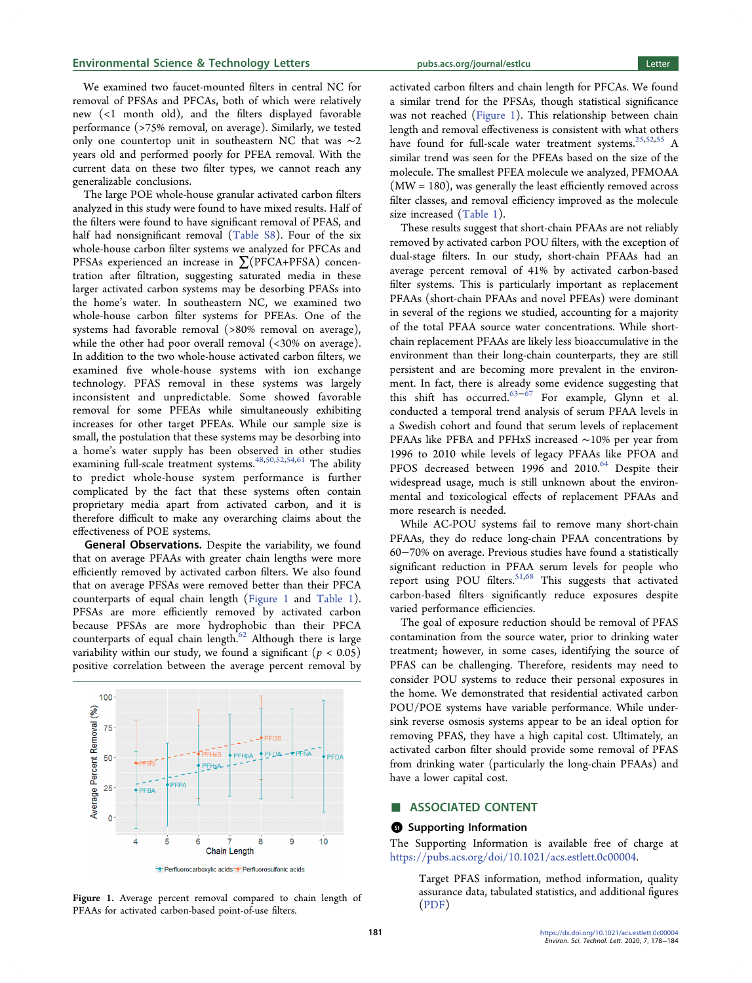#### Environmental Science & Technology Letters [pubs.acs.org/journal/estlcu](pubs.acs.org/journal/estlcu?ref=pdf) Letter

We examined two faucet-mounted filters in central NC for removal of PFSAs and PFCAs, both of which were relatively new (<1 month old), and the filters displayed favorable performance (>75% removal, on average). Similarly, we tested only one countertop unit in southeastern NC that was ∼2 years old and performed poorly for PFEA removal. With the current data on these two filter types, we cannot reach any generalizable conclusions.

The large POE whole-house granular activated carbon filters analyzed in this study were found to have mixed results. Half of the filters were found to have significant removal of PFAS, and half had nonsignificant removal ([Table S8](http://pubs.acs.org/doi/suppl/10.1021/acs.estlett.0c00004/suppl_file/ez0c00004_si_001.pdf)). Four of the six whole-house carbon filter systems we analyzed for PFCAs and PFSAs experienced an increase in ∑(PFCA+PFSA) concentration after filtration, suggesting saturated media in these larger activated carbon systems may be desorbing PFASs into the home's water. In southeastern NC, we examined two whole-house carbon filter systems for PFEAs. One of the systems had favorable removal (>80% removal on average), while the other had poor overall removal (<30% on average). In addition to the two whole-house activated carbon filters, we examined five whole-house systems with ion exchange technology. PFAS removal in these systems was largely inconsistent and unpredictable. Some showed favorable removal for some PFEAs while simultaneously exhibiting increases for other target PFEAs. While our sample size is small, the postulation that these systems may be desorbing into a home's water supply has been observed in other studies examining full-scale treatment systems.<sup>[48](#page-5-0),[50](#page-5-0),[52,](#page-5-0)[54](#page-6-0),[61](#page-6-0)</sup> The ability to predict whole-house system performance is further complicated by the fact that these systems often contain proprietary media apart from activated carbon, and it is therefore difficult to make any overarching claims about the effectiveness of POE systems.

General Observations. Despite the variability, we found that on average PFAAs with greater chain lengths were more efficiently removed by activated carbon filters. We also found that on average PFSAs were removed better than their PFCA counterparts of equal chain length (Figure 1 and [Table 1](#page-2-0)). PFSAs are more efficiently removed by activated carbon because PFSAs are more hydrophobic than their PFCA counterparts of equal chain length. $62$  Although there is large variability within our study, we found a significant ( $p < 0.05$ ) positive correlation between the average percent removal by





activated carbon filters and chain length for PFCAs. We found a similar trend for the PFSAs, though statistical significance was not reached (Figure 1). This relationship between chain length and removal effectiveness is consistent with what others have found for full-scale water treatment systems.<sup>[25,52](#page-5-0)[,55](#page-6-0)</sup> A similar trend was seen for the PFEAs based on the size of the molecule. The smallest PFEA molecule we analyzed, PFMOAA  $(MW = 180)$ , was generally the least efficiently removed across filter classes, and removal efficiency improved as the molecule size increased ([Table 1\)](#page-2-0).

These results suggest that short-chain PFAAs are not reliably removed by activated carbon POU filters, with the exception of dual-stage filters. In our study, short-chain PFAAs had an average percent removal of 41% by activated carbon-based filter systems. This is particularly important as replacement PFAAs (short-chain PFAAs and novel PFEAs) were dominant in several of the regions we studied, accounting for a majority of the total PFAA source water concentrations. While shortchain replacement PFAAs are likely less bioaccumulative in the environment than their long-chain counterparts, they are still persistent and are becoming more prevalent in the environment. In fact, there is already some evidence suggesting that this shift has occurred. $63-\dot{67}$  $63-\dot{67}$  $63-\dot{67}$  $63-\dot{67}$  For example, Glynn et al. conducted a temporal trend analysis of serum PFAA levels in a Swedish cohort and found that serum levels of replacement PFAAs like PFBA and PFHxS increased ∼10% per year from 1996 to 2010 while levels of legacy PFAAs like PFOA and PFOS decreased between 1996 and 2010.<sup>[64](#page-6-0)</sup> Despite their widespread usage, much is still unknown about the environmental and toxicological effects of replacement PFAAs and more research is needed.

While AC-POU systems fail to remove many short-chain PFAAs, they do reduce long-chain PFAA concentrations by 60−70% on average. Previous studies have found a statistically significant reduction in PFAA serum levels for people who report using POU filters.<sup>[51,](#page-5-0)[68](#page-6-0)</sup> This suggests that activated carbon-based filters significantly reduce exposures despite varied performance efficiencies.

The goal of exposure reduction should be removal of PFAS contamination from the source water, prior to drinking water treatment; however, in some cases, identifying the source of PFAS can be challenging. Therefore, residents may need to consider POU systems to reduce their personal exposures in the home. We demonstrated that residential activated carbon POU/POE systems have variable performance. While undersink reverse osmosis systems appear to be an ideal option for removing PFAS, they have a high capital cost. Ultimately, an activated carbon filter should provide some removal of PFAS from drinking water (particularly the long-chain PFAAs) and have a lower capital cost.

# ■ ASSOCIATED CONTENT

#### **6** Supporting Information

The Supporting Information is available free of charge at [https://pubs.acs.org/doi/10.1021/acs.estlett.0c00004](https://pubs.acs.org/doi/10.1021/acs.estlett.0c00004?goto=supporting-info).

Target PFAS information, method information, quality assurance data, tabulated statistics, and additional figures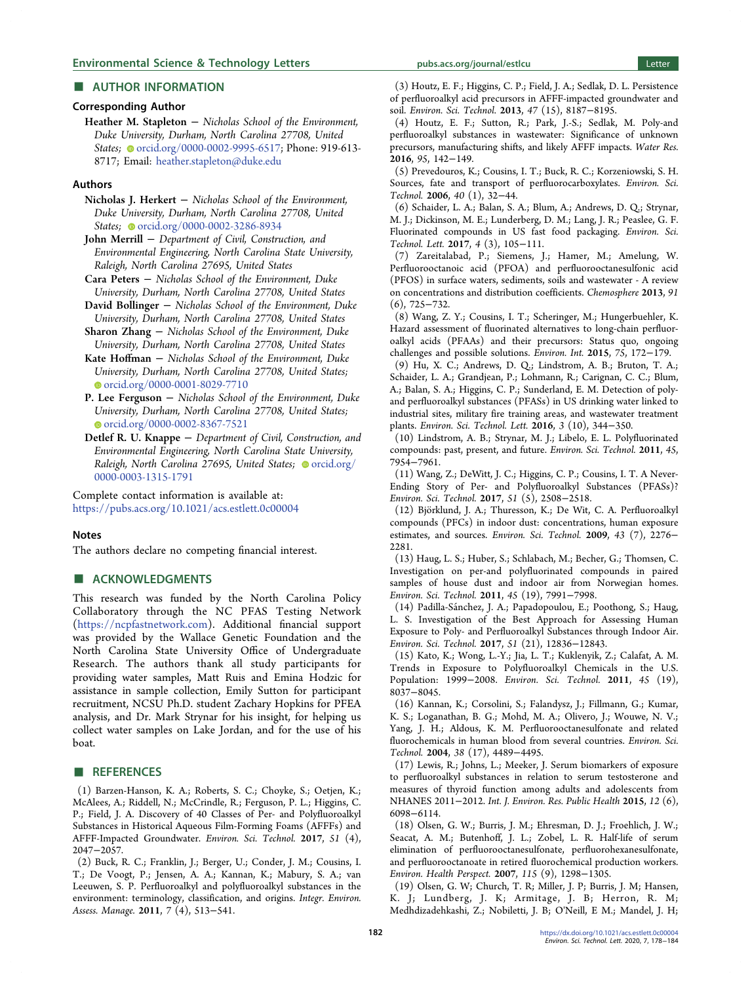# <span id="page-4-0"></span>■ AUTHOR INFORMATION

# Corresponding Author

Heather M. Stapleton − Nicholas School of the Environment, Duke University, Durham, North Carolina 27708, United States; [orcid.org/0000-0002-9995-6517](http://orcid.org/0000-0002-9995-6517); Phone: 919-613-8717; Email: [heather.stapleton@duke.edu](mailto:heather.stapleton@duke.edu)

#### Authors

Nicholas J. Herkert − Nicholas School of the Environment, Duke University, Durham, North Carolina 27708, United States; [orcid.org/0000-0002-3286-8934](http://orcid.org/0000-0002-3286-8934)

John Merrill – Department of Civil, Construction, and Environmental Engineering, North Carolina State University, Raleigh, North Carolina 27695, United States

Cara Peters − Nicholas School of the Environment, Duke University, Durham, North Carolina 27708, United States

David Bollinger − Nicholas School of the Environment, Duke University, Durham, North Carolina 27708, United States

Sharon Zhang − Nicholas School of the Environment, Duke University, Durham, North Carolina 27708, United States

Kate Hoffman − Nicholas School of the Environment, Duke University, Durham, North Carolina 27708, United States; [orcid.org/0000-0001-8029-7710](http://orcid.org/0000-0001-8029-7710)

P. Lee Ferguson − Nicholas School of the Environment, Duke University, Durham, North Carolina 27708, United States; [orcid.org/0000-0002-8367-7521](http://orcid.org/0000-0002-8367-7521)

Detlef R. U. Knappe − Department of Civil, Construction, and Environmental Engineering, North Carolina State University, Raleigh, North Carolina 27695, United States; [orcid.org/](http://orcid.org/0000-0003-1315-1791) [0000-0003-1315-1791](http://orcid.org/0000-0003-1315-1791)

Complete contact information is available at: [https://pubs.acs.org/10.1021/acs.estlett.0c00004](https://pubs.acs.org/doi/10.1021/acs.estlett.0c00004?ref=pdf)

#### Notes

The authors declare no competing financial interest.

## ■ ACKNOWLEDGMENTS

This research was funded by the North Carolina Policy Collaboratory through the NC PFAS Testing Network ([https://ncpfastnetwork.com\)](https://ncpfastnetwork.com). Additional financial support was provided by the Wallace Genetic Foundation and the North Carolina State University Office of Undergraduate Research. The authors thank all study participants for providing water samples, Matt Ruis and Emina Hodzic for assistance in sample collection, Emily Sutton for participant recruitment, NCSU Ph.D. student Zachary Hopkins for PFEA analysis, and Dr. Mark Strynar for his insight, for helping us collect water samples on Lake Jordan, and for the use of his boat.

### ■ REFERENCES

(1) Barzen-Hanson, K. A.; Roberts, S. C.; Choyke, S.; Oetjen, K.; McAlees, A.; Riddell, N.; McCrindle, R.; Ferguson, P. L.; Higgins, C. P.; Field, J. A. [Discovery of 40 Classes of Per- and Polyfluoroalkyl](https://dx.doi.org/10.1021/acs.est.6b05843) [Substances in Historical Aqueous Film-Forming Foams \(AFFFs\) and](https://dx.doi.org/10.1021/acs.est.6b05843) [AFFF-Impacted Groundwater.](https://dx.doi.org/10.1021/acs.est.6b05843) Environ. Sci. Technol. 2017, 51 (4), 2047−2057.

(2) Buck, R. C.; Franklin, J.; Berger, U.; Conder, J. M.; Cousins, I. T.; De Voogt, P.; Jensen, A. A.; Kannan, K.; Mabury, S. A.; van Leeuwen, S. P[. Perfluoroalkyl and polyfluoroalkyl substances in the](https://dx.doi.org/10.1002/ieam.258) [environment: terminology, classification, and origins.](https://dx.doi.org/10.1002/ieam.258) Integr. Environ. Assess. Manage. 2011, 7 (4), 513−541.

(3) Houtz, E. F.; Higgins, C. P.; Field, J. A.; Sedlak, D. L. [Persistence](https://dx.doi.org/10.1021/es4018877) [of perfluoroalkyl acid precursors in AFFF-impacted groundwater and](https://dx.doi.org/10.1021/es4018877) [soil.](https://dx.doi.org/10.1021/es4018877) Environ. Sci. Technol. 2013, 47 (15), 8187−8195.

(4) Houtz, E. F.; Sutton, R.; Park, J.-S.; Sedlak, M. [Poly-and](https://dx.doi.org/10.1016/j.watres.2016.02.055) [perfluoroalkyl substances in wastewater: Significance of unknown](https://dx.doi.org/10.1016/j.watres.2016.02.055) [precursors, manufacturing shifts, and likely AFFF impacts.](https://dx.doi.org/10.1016/j.watres.2016.02.055) Water Res. 2016, 95, 142−149.

(5) Prevedouros, K.; Cousins, I. T.; Buck, R. C.; Korzeniowski, S. H. [Sources, fate and transport of perfluorocarboxylates.](https://dx.doi.org/10.1021/es0512475) Environ. Sci. Technol. 2006, 40 (1), 32−44.

(6) Schaider, L. A.; Balan, S. A.; Blum, A.; Andrews, D. Q.; Strynar, M. J.; Dickinson, M. E.; Lunderberg, D. M.; Lang, J. R.; Peaslee, G. F. [Fluorinated compounds in US fast food packaging.](https://dx.doi.org/10.1021/acs.estlett.6b00435) Environ. Sci. Technol. Lett. 2017, 4 (3), 105−111.

(7) Zareitalabad, P.; Siemens, J.; Hamer, M.; Amelung, W. [Perfluorooctanoic acid \(PFOA\) and perfluorooctanesulfonic acid](https://dx.doi.org/10.1016/j.chemosphere.2013.02.024) [\(PFOS\) in surface waters, sediments, soils and wastewater - A review](https://dx.doi.org/10.1016/j.chemosphere.2013.02.024) [on concentrations and distribution coefficients.](https://dx.doi.org/10.1016/j.chemosphere.2013.02.024) Chemosphere 2013, 91 (6), 725−732.

(8) Wang, Z. Y.; Cousins, I. T.; Scheringer, M.; Hungerbuehler, K. [Hazard assessment of fluorinated alternatives to long-chain perfluor](https://dx.doi.org/10.1016/j.envint.2014.11.013)[oalkyl acids \(PFAAs\) and their precursors: Status quo, ongoing](https://dx.doi.org/10.1016/j.envint.2014.11.013) [challenges and possible solutions.](https://dx.doi.org/10.1016/j.envint.2014.11.013) Environ. Int. 2015, 75, 172−179.

(9) Hu, X. C.; Andrews, D. Q.; Lindstrom, A. B.; Bruton, T. A.; Schaider, L. A.; Grandjean, P.; Lohmann, R.; Carignan, C. C.; Blum, A.; Balan, S. A.; Higgins, C. P.; Sunderland, E. M[. Detection of poly](https://dx.doi.org/10.1021/acs.estlett.6b00260)[and perfluoroalkyl substances \(PFASs\) in US drinking water linked to](https://dx.doi.org/10.1021/acs.estlett.6b00260) [industrial sites, military fire training areas, and wastewater treatment](https://dx.doi.org/10.1021/acs.estlett.6b00260) [plants.](https://dx.doi.org/10.1021/acs.estlett.6b00260) Environ. Sci. Technol. Lett. 2016, 3 (10), 344−350.

(10) Lindstrom, A. B.; Strynar, M. J.; Libelo, E. L. [Polyfluorinated](https://dx.doi.org/10.1021/es2011622) [compounds: past, present, and future.](https://dx.doi.org/10.1021/es2011622) Environ. Sci. Technol. 2011, 45, 7954−7961.

(11) Wang, Z.; DeWitt, J. C.; Higgins, C. P.; Cousins, I. T. [A Never-](https://dx.doi.org/10.1021/acs.est.6b04806)[Ending Story of Per- and Polyfluoroalkyl Substances \(PFASs\)?](https://dx.doi.org/10.1021/acs.est.6b04806) Environ. Sci. Technol. 2017, 51 (5), 2508−2518.

(12) Björklund, J. A.; Thuresson, K.; De Wit, C. A[. Perfluoroalkyl](https://dx.doi.org/10.1021/es803201a) [compounds \(PFCs\) in indoor dust: concentrations, human exposure](https://dx.doi.org/10.1021/es803201a) [estimates, and sources.](https://dx.doi.org/10.1021/es803201a) Environ. Sci. Technol. 2009, 43 (7), 2276− 2281.

(13) Haug, L. S.; Huber, S.; Schlabach, M.; Becher, G.; Thomsen, C. [Investigation on per-and polyfluorinated compounds in paired](https://dx.doi.org/10.1021/es103456h) [samples of house dust and indoor air from Norwegian homes.](https://dx.doi.org/10.1021/es103456h) Environ. Sci. Technol. 2011, 45 (19), 7991−7998.

(14) Padilla-Sanchez, J. A.; Papadopoulou, E.; Poothong, S.; Haug, ́ L. S. [Investigation of the Best Approach for Assessing Human](https://dx.doi.org/10.1021/acs.est.7b03516) [Exposure to Poly- and Perfluoroalkyl Substances through Indoor Air.](https://dx.doi.org/10.1021/acs.est.7b03516) Environ. Sci. Technol. 2017, 51 (21), 12836−12843.

(15) Kato, K.; Wong, L.-Y.; Jia, L. T.; Kuklenyik, Z.; Calafat, A. M. [Trends in Exposure to Polyfluoroalkyl Chemicals in the U.S.](https://dx.doi.org/10.1021/es1043613) [Population: 1999](https://dx.doi.org/10.1021/es1043613)−2008. Environ. Sci. Technol. 2011, 45 (19), 8037−8045.

(16) Kannan, K.; Corsolini, S.; Falandysz, J.; Fillmann, G.; Kumar, K. S.; Loganathan, B. G.; Mohd, M. A.; Olivero, J.; Wouwe, N. V.; Yang, J. H.; Aldous, K. M. [Perfluorooctanesulfonate and related](https://dx.doi.org/10.1021/es0493446) [fluorochemicals in human blood from several countries.](https://dx.doi.org/10.1021/es0493446) Environ. Sci. Technol. 2004, 38 (17), 4489−4495.

(17) Lewis, R.; Johns, L.; Meeker, J. [Serum biomarkers of exposure](https://dx.doi.org/10.3390/ijerph120606098) [to perfluoroalkyl substances in relation to serum testosterone and](https://dx.doi.org/10.3390/ijerph120606098) [measures of thyroid function among adults and adolescents from](https://dx.doi.org/10.3390/ijerph120606098) [NHANES 2011](https://dx.doi.org/10.3390/ijerph120606098)−2012. Int. J. Environ. Res. Public Health 2015, 12 (6), 6098−6114.

(18) Olsen, G. W.; Burris, J. M.; Ehresman, D. J.; Froehlich, J. W.; Seacat, A. M.; Butenhoff, J. L.; Zobel, L. R. [Half-life of serum](https://dx.doi.org/10.1289/ehp.10009) [elimination of perfluorooctanesulfonate, perfluorohexanesulfonate,](https://dx.doi.org/10.1289/ehp.10009) [and perfluorooctanoate in retired fluorochemical production workers.](https://dx.doi.org/10.1289/ehp.10009) Environ. Health Perspect. 2007, 115 (9), 1298−1305.

(19) Olsen, G. W; Church, T. R; Miller, J. P; Burris, J. M; Hansen, K. J; Lundberg, J. K; Armitage, J. B; Herron, R. M; Medhdizadehkashi, Z.; Nobiletti, J. B; O'Neill, E M.; Mandel, J. H;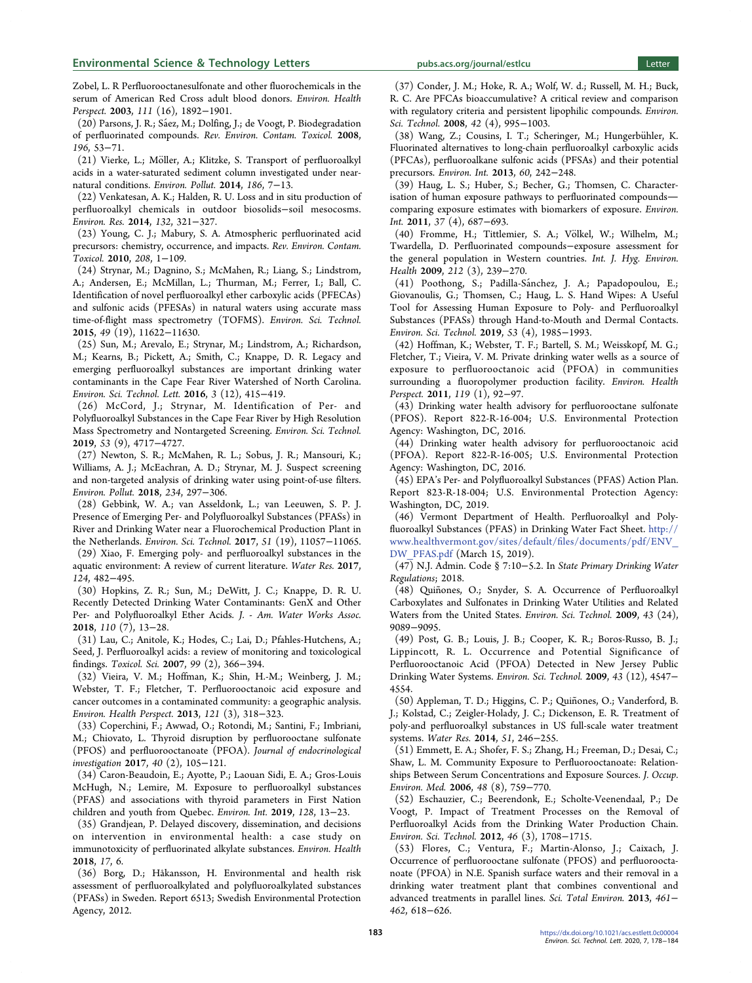<span id="page-5-0"></span>Zobel, L. [R Perfluorooctanesulfonate and other fluorochemicals in the](https://dx.doi.org/10.1289/ehp.6316) [serum of American Red Cross adult blood donors.](https://dx.doi.org/10.1289/ehp.6316) Environ. Health Perspect. 2003, 111 (16), 1892−1901.

(20) Parsons, J. R.; Sáez, M.; Dolfing, J.; de Voogt, P[. Biodegradation](https://dx.doi.org/10.1007/978-0-387-78444-1_2) [of perfluorinated compounds.](https://dx.doi.org/10.1007/978-0-387-78444-1_2) Rev. Environ. Contam. Toxicol. 2008, 196, 53−71.

(21) Vierke, L.; Möller, A.; Klitzke, S[. Transport of perfluoroalkyl](https://dx.doi.org/10.1016/j.envpol.2013.11.011) [acids in a water-saturated sediment column investigated under near](https://dx.doi.org/10.1016/j.envpol.2013.11.011)[natural conditions.](https://dx.doi.org/10.1016/j.envpol.2013.11.011) Environ. Pollut. 2014, 186, 7−13.

(22) Venkatesan, A. K.; Halden, R. U. [Loss and in situ production of](https://dx.doi.org/10.1016/j.envres.2014.04.024) [perfluoroalkyl chemicals in outdoor biosolids](https://dx.doi.org/10.1016/j.envres.2014.04.024)−soil mesocosms. Environ. Res. 2014, 132, 321−327.

(23) Young, C. J.; Mabury, S. A[. Atmospheric perfluorinated acid](https://dx.doi.org/10.1007/978-1-4419-6880-7_1) [precursors: chemistry, occurrence, and impacts.](https://dx.doi.org/10.1007/978-1-4419-6880-7_1) Rev. Environ. Contam. Toxicol. 2010, 208, 1−109.

(24) Strynar, M.; Dagnino, S.; McMahen, R.; Liang, S.; Lindstrom, A.; Andersen, E.; McMillan, L.; Thurman, M.; Ferrer, I.; Ball, C. [Identification of novel perfluoroalkyl ether carboxylic acids \(PFECAs\)](https://dx.doi.org/10.1021/acs.est.5b01215) [and sulfonic acids \(PFESAs\) in natural waters using accurate mass](https://dx.doi.org/10.1021/acs.est.5b01215) [time-of-flight mass spectrometry \(TOFMS\).](https://dx.doi.org/10.1021/acs.est.5b01215) Environ. Sci. Technol. 2015, 49 (19), 11622−11630.

(25) Sun, M.; Arevalo, E.; Strynar, M.; Lindstrom, A.; Richardson, M.; Kearns, B.; Pickett, A.; Smith, C.; Knappe, D. R. [Legacy and](https://dx.doi.org/10.1021/acs.estlett.6b00398) [emerging perfluoroalkyl substances are important drinking water](https://dx.doi.org/10.1021/acs.estlett.6b00398) [contaminants in the Cape Fear River Watershed of North Carolina.](https://dx.doi.org/10.1021/acs.estlett.6b00398) Environ. Sci. Technol. Lett. 2016, 3 (12), 415−419.

(26) McCord, J.; Strynar, M. [Identification of Per- and](https://dx.doi.org/10.1021/acs.est.8b06017) [Polyfluoroalkyl Substances in the Cape Fear River by High Resolution](https://dx.doi.org/10.1021/acs.est.8b06017) [Mass Spectrometry and Nontargeted Screening.](https://dx.doi.org/10.1021/acs.est.8b06017) Environ. Sci. Technol. 2019, 53 (9), 4717−4727.

(27) Newton, S. R.; McMahen, R. L.; Sobus, J. R.; Mansouri, K.; Williams, A. J.; McEachran, A. D.; Strynar, M. J. [Suspect screening](https://dx.doi.org/10.1016/j.envpol.2017.11.033) [and non-targeted analysis of drinking water using point-of-use filters.](https://dx.doi.org/10.1016/j.envpol.2017.11.033) Environ. Pollut. 2018, 234, 297−306.

(28) Gebbink, W. A.; van Asseldonk, L.; van Leeuwen, S. P. J. [Presence of Emerging Per- and Polyfluoroalkyl Substances \(PFASs\) in](https://dx.doi.org/10.1021/acs.est.7b02488) [River and Drinking Water near a Fluorochemical Production Plant in](https://dx.doi.org/10.1021/acs.est.7b02488) [the Netherlands.](https://dx.doi.org/10.1021/acs.est.7b02488) Environ. Sci. Technol. 2017, 51 (19), 11057−11065.

(29) Xiao, F. [Emerging poly- and perfluoroalkyl substances in the](https://dx.doi.org/10.1016/j.watres.2017.07.024) [aquatic environment: A review of current literature.](https://dx.doi.org/10.1016/j.watres.2017.07.024) Water Res. 2017, 124, 482−495.

(30) Hopkins, Z. R.; Sun, M.; DeWitt, J. C.; Knappe, D. R. U. [Recently Detected Drinking Water Contaminants: GenX and Other](https://dx.doi.org/10.1002/awwa.1073) [Per- and Polyfluoroalkyl Ether Acids.](https://dx.doi.org/10.1002/awwa.1073) J. - Am. Water Works Assoc. 2018, 110 (7), 13−28.

(31) Lau, C.; Anitole, K.; Hodes, C.; Lai, D.; Pfahles-Hutchens, A.; Seed, J. [Perfluoroalkyl acids: a review of monitoring and toxicological](https://dx.doi.org/10.1093/toxsci/kfm128) [findings.](https://dx.doi.org/10.1093/toxsci/kfm128) Toxicol. Sci. 2007, 99 (2), 366−394.

(32) Vieira, V. M.; Hoffman, K.; Shin, H.-M.; Weinberg, J. M.; Webster, T. F.; Fletcher, T. [Perfluorooctanoic acid exposure and](https://dx.doi.org/10.1289/ehp.1205829) [cancer outcomes in a contaminated community: a geographic analysis.](https://dx.doi.org/10.1289/ehp.1205829) Environ. Health Perspect. 2013, 121 (3), 318−323.

(33) Coperchini, F.; Awwad, O.; Rotondi, M.; Santini, F.; Imbriani, M.; Chiovato, L[. Thyroid disruption by perfluorooctane sulfonate](https://dx.doi.org/10.1007/s40618-016-0572-z) [\(PFOS\) and perfluorooctanoate \(PFOA\).](https://dx.doi.org/10.1007/s40618-016-0572-z) Journal of endocrinological investigation 2017, 40 (2), 105−121.

(34) Caron-Beaudoin, E.; Ayotte, P.; Laouan Sidi, E. A.; Gros-Louis McHugh, N.; Lemire, M[. Exposure to perfluoroalkyl substances](https://dx.doi.org/10.1016/j.envint.2019.04.029) [\(PFAS\) and associations with thyroid parameters in First Nation](https://dx.doi.org/10.1016/j.envint.2019.04.029) [children and youth from Quebec.](https://dx.doi.org/10.1016/j.envint.2019.04.029) Environ. Int. 2019, 128, 13−23.

(35) Grandjean, P. [Delayed discovery, dissemination, and decisions](https://dx.doi.org/10.1186/s12940-018-0405-y) [on intervention in environmental health: a case study on](https://dx.doi.org/10.1186/s12940-018-0405-y) [immunotoxicity of perfluorinated alkylate substances.](https://dx.doi.org/10.1186/s12940-018-0405-y) Environ. Health 2018, 17, 6.

(36) Borg, D.; Håkansson, H. Environmental and health risk assessment of perfluoroalkylated and polyfluoroalkylated substances (PFASs) in Sweden. Report 6513; Swedish Environmental Protection Agency, 2012.

(37) Conder, J. M.; Hoke, R. A.; Wolf, W. d.; Russell, M. H.; Buck, R. C. [Are PFCAs bioaccumulative? A critical review and comparison](https://dx.doi.org/10.1021/es070895g) [with regulatory criteria and persistent lipophilic compounds.](https://dx.doi.org/10.1021/es070895g) Environ. Sci. Technol. 2008, 42 (4), 995−1003.

(38) Wang, Z.; Cousins, I. T.; Scheringer, M.; Hungerbühler, K. [Fluorinated alternatives to long-chain perfluoroalkyl carboxylic acids](https://dx.doi.org/10.1016/j.envint.2013.08.021) [\(PFCAs\), perfluoroalkane sulfonic acids \(PFSAs\) and their potential](https://dx.doi.org/10.1016/j.envint.2013.08.021) [precursors.](https://dx.doi.org/10.1016/j.envint.2013.08.021) Environ. Int. 2013, 60, 242−248.

(39) Haug, L. S.; Huber, S.; Becher, G.; Thomsen, C. [Character](https://dx.doi.org/10.1016/j.envint.2011.01.011)[isation of human exposure pathways to perfluorinated compounds](https://dx.doi.org/10.1016/j.envint.2011.01.011) [comparing exposure estimates with biomarkers of exposure.](https://dx.doi.org/10.1016/j.envint.2011.01.011) Environ. Int. 2011, 37 (4), 687−693.

(40) Fromme, H.; Tittlemier, S. A.; Völkel, W.; Wilhelm, M.; Twardella, D[. Perfluorinated compounds](https://dx.doi.org/10.1016/j.ijheh.2008.04.007)−exposure assessment for [the general population in Western countries.](https://dx.doi.org/10.1016/j.ijheh.2008.04.007) Int. J. Hyg. Environ. Health 2009, 212 (3), 239−270.

(41) Poothong, S.; Padilla-Sánchez, J. A.; Papadopoulou, E.; Giovanoulis, G.; Thomsen, C.; Haug, L. S. [Hand Wipes: A Useful](https://dx.doi.org/10.1021/acs.est.8b05303) [Tool for Assessing Human Exposure to Poly- and Perfluoroalkyl](https://dx.doi.org/10.1021/acs.est.8b05303) [Substances \(PFASs\) through Hand-to-Mouth and Dermal Contacts.](https://dx.doi.org/10.1021/acs.est.8b05303) Environ. Sci. Technol. 2019, 53 (4), 1985−1993.

(42) Hoffman, K.; Webster, T. F.; Bartell, S. M.; Weisskopf, M. G.; Fletcher, T.; Vieira, V. M. [Private drinking water wells as a source of](https://dx.doi.org/10.1289/ehp.1002503) [exposure to perfluorooctanoic acid \(PFOA\) in communities](https://dx.doi.org/10.1289/ehp.1002503) [surrounding a fluoropolymer production facility.](https://dx.doi.org/10.1289/ehp.1002503) Environ. Health Perspect. 2011, 119 (1), 92−97.

(43) Drinking water health advisory for perfluorooctane sulfonate (PFOS). Report 822-R-16-004; U.S. Environmental Protection Agency: Washington, DC, 2016.

(44) Drinking water health advisory for perfluorooctanoic acid (PFOA). Report 822-R-16-005; U.S. Environmental Protection Agency: Washington, DC, 2016.

(45) EPA's Per- and Polyfluoroalkyl Substances (PFAS) Action Plan. Report 823-R-18-004; U.S. Environmental Protection Agency: Washington, DC, 2019.

(46) Vermont Department of Health. Perfluoroalkyl and Polyfluoroalkyl Substances (PFAS) in Drinking Water Fact Sheet. [http://](http://www.healthvermont.gov/sites/default/files/documents/pdf/ENV_DW_PFAS.pdf) [www.healthvermont.gov/sites/default/](http://www.healthvermont.gov/sites/default/files/documents/pdf/ENV_DW_PFAS.pdf)files/documents/pdf/ENV\_ [DW\\_PFAS.pdf](http://www.healthvermont.gov/sites/default/files/documents/pdf/ENV_DW_PFAS.pdf) (March 15, 2019).

(47) N.J. Admin. Code § 7:10−5.2. In State Primary Drinking Water Regulations; 2018.

(48) Quiñones, O.; Snyder, S. A. [Occurrence of Perfluoroalkyl](https://dx.doi.org/10.1021/es9024707) [Carboxylates and Sulfonates in Drinking Water Utilities and Related](https://dx.doi.org/10.1021/es9024707) [Waters from the United States.](https://dx.doi.org/10.1021/es9024707) Environ. Sci. Technol. 2009, 43 (24), 9089−9095.

(49) Post, G. B.; Louis, J. B.; Cooper, K. R.; Boros-Russo, B. J.; Lippincott, R. L. [Occurrence and Potential Significance of](https://dx.doi.org/10.1021/es900301s) [Perfluorooctanoic Acid \(PFOA\) Detected in New Jersey Public](https://dx.doi.org/10.1021/es900301s) [Drinking Water Systems.](https://dx.doi.org/10.1021/es900301s) Environ. Sci. Technol. 2009, 43 (12), 4547− 4554.

(50) Appleman, T. D.; Higgins, C. P.; Quiñones, O.; Vanderford, B. J.; Kolstad, C.; Zeigler-Holady, J. C.; Dickenson, E. R[. Treatment of](https://dx.doi.org/10.1016/j.watres.2013.10.067) [poly-and perfluoroalkyl substances in US full-scale water treatment](https://dx.doi.org/10.1016/j.watres.2013.10.067) [systems.](https://dx.doi.org/10.1016/j.watres.2013.10.067) Water Res. 2014, 51, 246−255.

(51) Emmett, E. A.; Shofer, F. S.; Zhang, H.; Freeman, D.; Desai, C.; Shaw, L. M. [Community Exposure to Perfluorooctanoate: Relation](https://dx.doi.org/10.1097/01.jom.0000232486.07658.74)[ships Between Serum Concentrations and Exposure Sources.](https://dx.doi.org/10.1097/01.jom.0000232486.07658.74) J. Occup. Environ. Med. 2006, 48 (8), 759−770.

(52) Eschauzier, C.; Beerendonk, E.; Scholte-Veenendaal, P.; De Voogt, P[. Impact of Treatment Processes on the Removal of](https://dx.doi.org/10.1021/es201662b) [Perfluoroalkyl Acids from the Drinking Water Production Chain.](https://dx.doi.org/10.1021/es201662b) Environ. Sci. Technol. 2012, 46 (3), 1708−1715.

(53) Flores, C.; Ventura, F.; Martin-Alonso, J.; Caixach, J. [Occurrence of perfluorooctane sulfonate \(PFOS\) and perfluoroocta](https://dx.doi.org/10.1016/j.scitotenv.2013.05.026)[noate \(PFOA\) in N.E. Spanish surface waters and their removal in a](https://dx.doi.org/10.1016/j.scitotenv.2013.05.026) [drinking water treatment plant that combines conventional and](https://dx.doi.org/10.1016/j.scitotenv.2013.05.026) [advanced treatments in parallel lines.](https://dx.doi.org/10.1016/j.scitotenv.2013.05.026) Sci. Total Environ. 2013, 461− 462, 618−626.